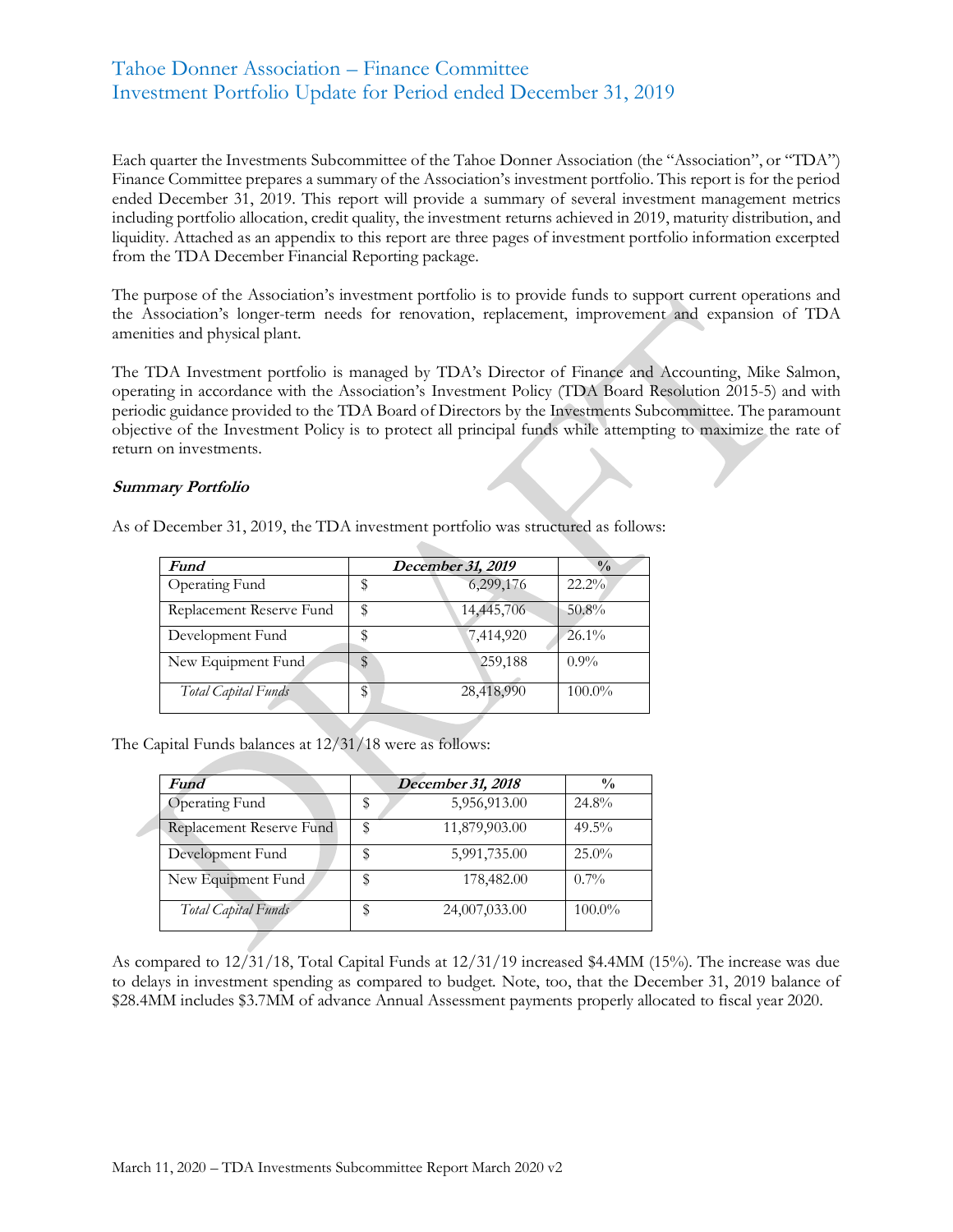## Tahoe Donner Association – Finance Committee Investment Portfolio Update for Period ended December 31, 2019

Each quarter the Investments Subcommittee of the Tahoe Donner Association (the "Association", or "TDA") Finance Committee prepares a summary of the Association's investment portfolio. This report is for the period ended December 31, 2019. This report will provide a summary of several investment management metrics including portfolio allocation, credit quality, the investment returns achieved in 2019, maturity distribution, and liquidity. Attached as an appendix to this report are three pages of investment portfolio information excerpted from the TDA December Financial Reporting package.

The purpose of the Association's investment portfolio is to provide funds to support current operations and the Association's longer-term needs for renovation, replacement, improvement and expansion of TDA amenities and physical plant.

The TDA Investment portfolio is managed by TDA's Director of Finance and Accounting, Mike Salmon, operating in accordance with the Association's Investment Policy (TDA Board Resolution 2015-5) and with periodic guidance provided to the TDA Board of Directors by the Investments Subcommittee. The paramount objective of the Investment Policy is to protect all principal funds while attempting to maximize the rate of return on investments.

#### **Summary Portfolio**

| As of December 31, 2019, the TDA investment portfolio was structured as follows: |  |  |
|----------------------------------------------------------------------------------|--|--|
|----------------------------------------------------------------------------------|--|--|

| <b>Fund</b>              |    | December 31, 2019 | $\frac{0}{0}$ |
|--------------------------|----|-------------------|---------------|
| Operating Fund           | P  | 6,299,176         | $22.2\%$      |
| Replacement Reserve Fund | \$ | 14,445,706        | 50.8%         |
| Development Fund         |    | 7,414,920         | $26.1\%$      |
| New Equipment Fund       | \$ | 259,188           | $0.9\%$       |
| Total Capital Funds      | \$ | 28,418,990        | $100.0\%$     |

The Capital Funds balances at 12/31/18 were as follows:

| Fund                     |   | December 31, 2018 | $\frac{0}{0}$ |
|--------------------------|---|-------------------|---------------|
| <b>Operating Fund</b>    | S | 5,956,913.00      | 24.8%         |
| Replacement Reserve Fund |   | 11,879,903.00     | $49.5\%$      |
| Development Fund         |   | 5,991,735.00      | 25.0%         |
| New Equipment Fund       |   | 178,482.00        | $0.7\%$       |
| Total Capital Funds      |   | 24,007,033.00     | $100.0\%$     |

As compared to 12/31/18, Total Capital Funds at 12/31/19 increased \$4.4MM (15%). The increase was due to delays in investment spending as compared to budget. Note, too, that the December 31, 2019 balance of \$28.4MM includes \$3.7MM of advance Annual Assessment payments properly allocated to fiscal year 2020.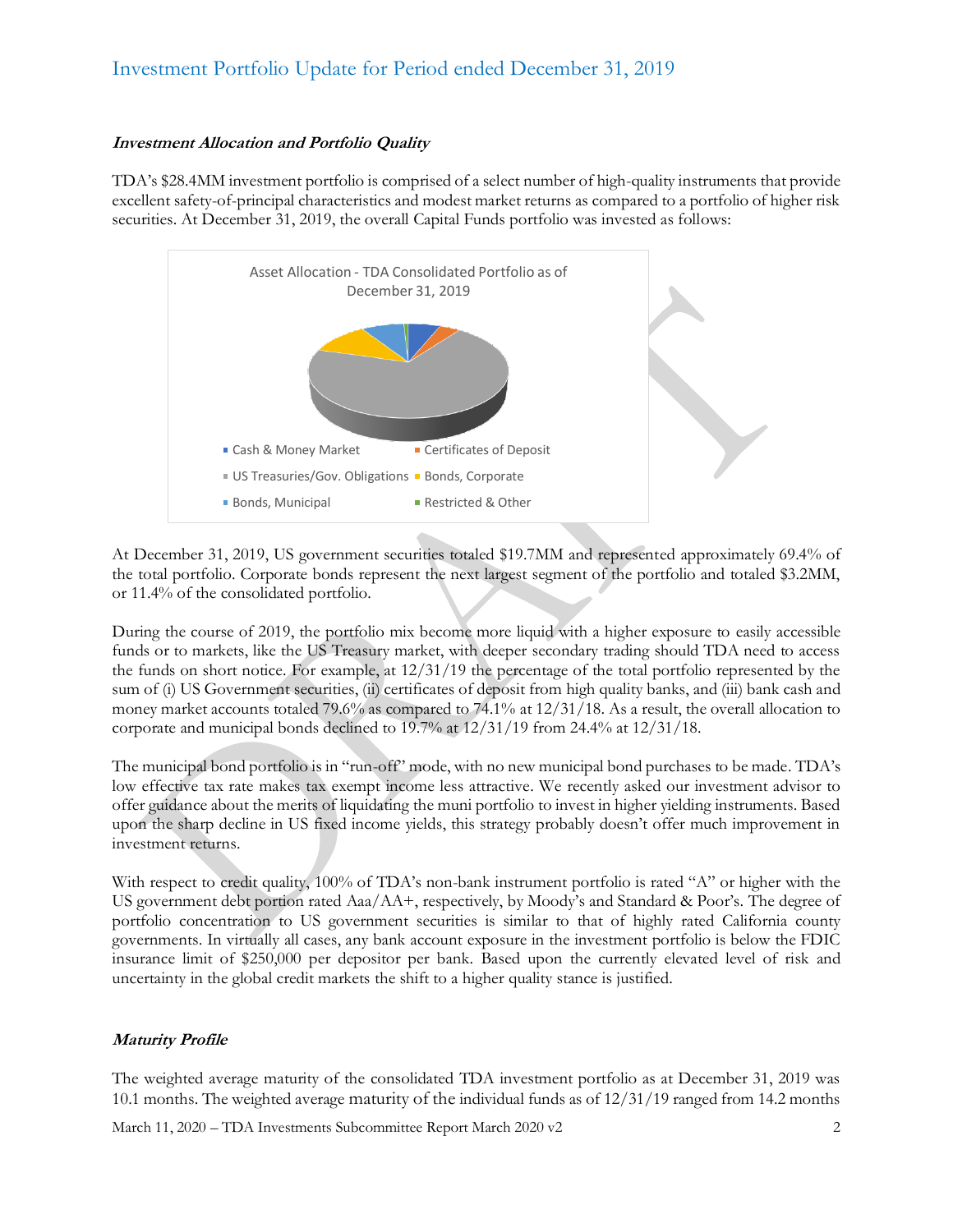# Investment Portfolio Update for Period ended December 31, 2019

### **Investment Allocation and Portfolio Quality**

TDA's \$28.4MM investment portfolio is comprised of a select number of high-quality instruments that provide excellent safety-of-principal characteristics and modest market returns as compared to a portfolio of higher risk securities. At December 31, 2019, the overall Capital Funds portfolio was invested as follows:



At December 31, 2019, US government securities totaled \$19.7MM and represented approximately 69.4% of the total portfolio. Corporate bonds represent the next largest segment of the portfolio and totaled \$3.2MM, or 11.4% of the consolidated portfolio.

During the course of 2019, the portfolio mix become more liquid with a higher exposure to easily accessible funds or to markets, like the US Treasury market, with deeper secondary trading should TDA need to access the funds on short notice. For example, at 12/31/19 the percentage of the total portfolio represented by the sum of (i) US Government securities, (ii) certificates of deposit from high quality banks, and (iii) bank cash and money market accounts totaled 79.6% as compared to 74.1% at 12/31/18. As a result, the overall allocation to corporate and municipal bonds declined to 19.7% at 12/31/19 from 24.4% at 12/31/18.

The municipal bond portfolio is in "run-off" mode, with no new municipal bond purchases to be made. TDA's low effective tax rate makes tax exempt income less attractive. We recently asked our investment advisor to offer guidance about the merits of liquidating the muni portfolio to invest in higher yielding instruments. Based upon the sharp decline in US fixed income yields, this strategy probably doesn't offer much improvement in investment returns.

With respect to credit quality, 100% of TDA's non-bank instrument portfolio is rated "A" or higher with the US government debt portion rated Aaa/AA+, respectively, by Moody's and Standard & Poor's. The degree of portfolio concentration to US government securities is similar to that of highly rated California county governments. In virtually all cases, any bank account exposure in the investment portfolio is below the FDIC insurance limit of \$250,000 per depositor per bank. Based upon the currently elevated level of risk and uncertainty in the global credit markets the shift to a higher quality stance is justified.

### **Maturity Profile**

The weighted average maturity of the consolidated TDA investment portfolio as at December 31, 2019 was 10.1 months. The weighted average maturity of the individual funds as of 12/31/19 ranged from 14.2 months

March 11, 2020 – TDA Investments Subcommittee Report March 2020 v2 2